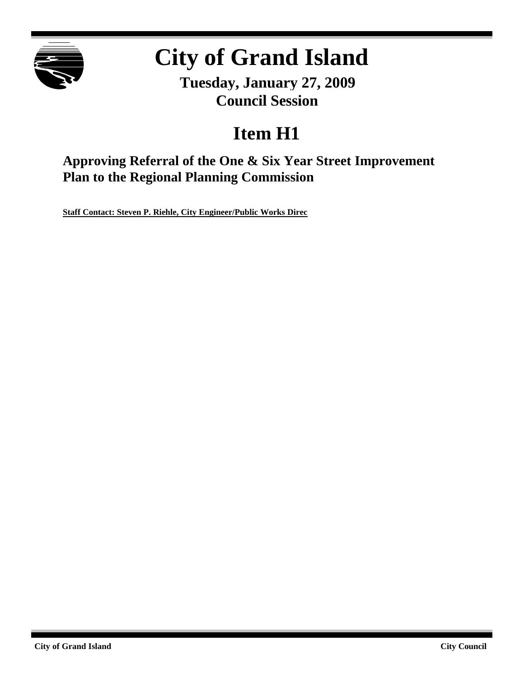

# **City of Grand Island**

**Tuesday, January 27, 2009 Council Session**

# **Item H1**

**Approving Referral of the One & Six Year Street Improvement Plan to the Regional Planning Commission**

**Staff Contact: Steven P. Riehle, City Engineer/Public Works Direc**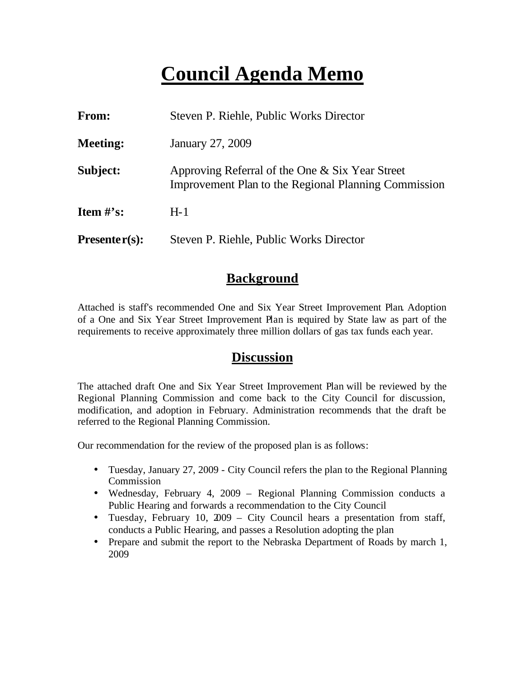# **Council Agenda Memo**

| From:                          | Steven P. Riehle, Public Works Director                                                                 |
|--------------------------------|---------------------------------------------------------------------------------------------------------|
| <b>Meeting:</b>                | January 27, 2009                                                                                        |
| Subject:                       | Approving Referral of the One & Six Year Street<br>Improvement Plan to the Regional Planning Commission |
| <b>Item <math>\#</math>'s:</b> | $H-1$                                                                                                   |
| $Presenter(s):$                | Steven P. Riehle, Public Works Director                                                                 |

#### **Background**

Attached is staff's recommended One and Six Year Street Improvement Plan. Adoption of a One and Six Year Street Improvement Plan is required by State law as part of the requirements to receive approximately three million dollars of gas tax funds each year.

#### **Discussion**

The attached draft One and Six Year Street Improvement Plan will be reviewed by the Regional Planning Commission and come back to the City Council for discussion, modification, and adoption in February. Administration recommends that the draft be referred to the Regional Planning Commission.

Our recommendation for the review of the proposed plan is as follows:

- Tuesday, January 27, 2009 City Council refers the plan to the Regional Planning Commission
- Wednesday, February 4, 2009 Regional Planning Commission conducts a Public Hearing and forwards a recommendation to the City Council
- Tuesday, February 10, 2009 City Council hears a presentation from staff, conducts a Public Hearing, and passes a Resolution adopting the plan
- Prepare and submit the report to the Nebraska Department of Roads by march 1, 2009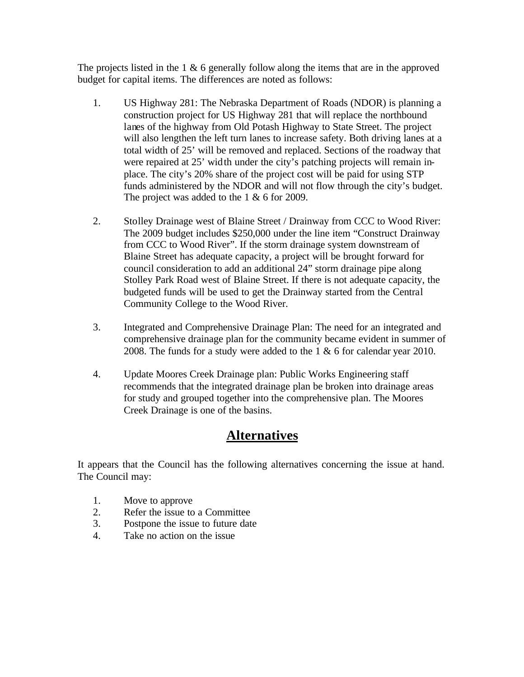The projects listed in the  $1 \& 6$  generally follow along the items that are in the approved budget for capital items. The differences are noted as follows:

- 1. US Highway 281: The Nebraska Department of Roads (NDOR) is planning a construction project for US Highway 281 that will replace the northbound lanes of the highway from Old Potash Highway to State Street. The project will also lengthen the left turn lanes to increase safety. Both driving lanes at a total width of 25' will be removed and replaced. Sections of the roadway that were repaired at 25' width under the city's patching projects will remain inplace. The city's 20% share of the project cost will be paid for using STP funds administered by the NDOR and will not flow through the city's budget. The project was added to the 1 & 6 for 2009.
- 2. Stolley Drainage west of Blaine Street / Drainway from CCC to Wood River: The 2009 budget includes \$250,000 under the line item "Construct Drainway from CCC to Wood River". If the storm drainage system downstream of Blaine Street has adequate capacity, a project will be brought forward for council consideration to add an additional 24" storm drainage pipe along Stolley Park Road west of Blaine Street. If there is not adequate capacity, the budgeted funds will be used to get the Drainway started from the Central Community College to the Wood River.
- 3. Integrated and Comprehensive Drainage Plan: The need for an integrated and comprehensive drainage plan for the community became evident in summer of 2008. The funds for a study were added to the 1 & 6 for calendar year 2010.
- 4. Update Moores Creek Drainage plan: Public Works Engineering staff recommends that the integrated drainage plan be broken into drainage areas for study and grouped together into the comprehensive plan. The Moores Creek Drainage is one of the basins.

### **Alternatives**

It appears that the Council has the following alternatives concerning the issue at hand. The Council may:

- 1. Move to approve
- 2. Refer the issue to a Committee
- 3. Postpone the issue to future date
- 4. Take no action on the issue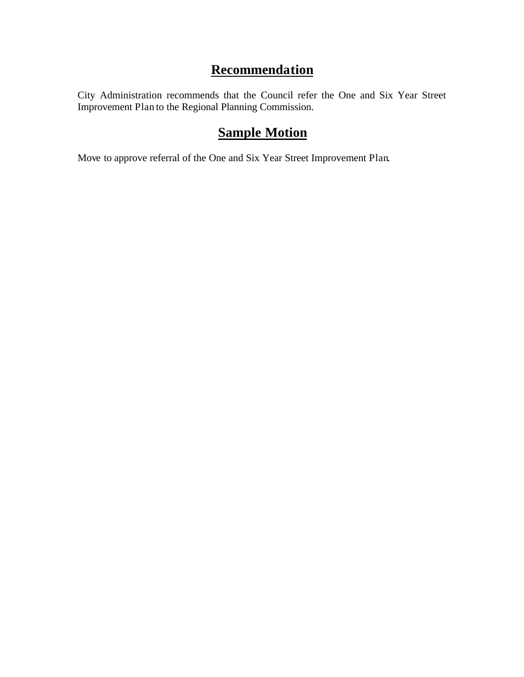### **Recommendation**

City Administration recommends that the Council refer the One and Six Year Street Improvement Plan to the Regional Planning Commission.

## **Sample Motion**

Move to approve referral of the One and Six Year Street Improvement Plan.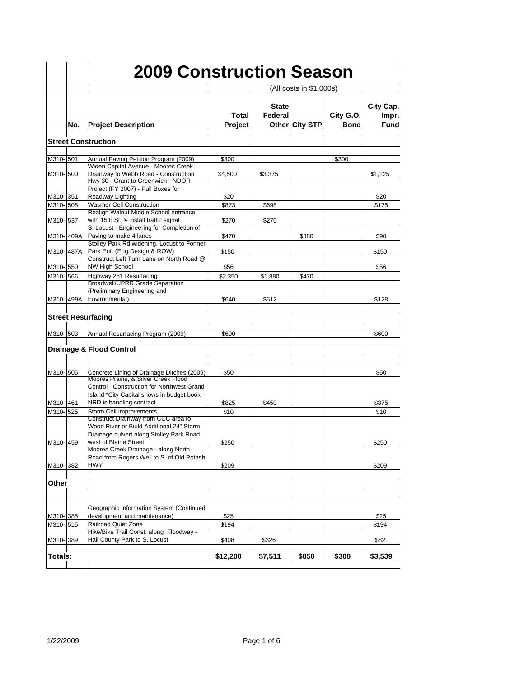|           |     | <b>2009 Construction Season</b>                                                                                                                      |                  |                         |                         |                          |                                   |
|-----------|-----|------------------------------------------------------------------------------------------------------------------------------------------------------|------------------|-------------------------|-------------------------|--------------------------|-----------------------------------|
|           |     |                                                                                                                                                      |                  |                         | (All costs in \$1,000s) |                          |                                   |
|           | No. | <b>Project Description</b>                                                                                                                           | Total<br>Project | <b>State</b><br>Federal | Other City STP          | City G.O.<br><b>Bond</b> | City Cap.<br>Impr.<br><b>Fund</b> |
|           |     | <b>Street Construction</b>                                                                                                                           |                  |                         |                         |                          |                                   |
|           |     |                                                                                                                                                      |                  |                         |                         |                          |                                   |
| M310-501  |     | Annual Paving Petition Program (2009)                                                                                                                | \$300            |                         |                         | \$300                    |                                   |
| M310-500  |     | Widen Capital Avenue - Moores Creek<br>Drainway to Webb Road - Construction<br>Hwy 30 - Grant to Greenwich - NDOR                                    | \$4,500          | \$3,375                 |                         |                          | \$1,125                           |
| M310-351  |     | Project (FY 2007) - Pull Boxes for<br>Roadway Lighting                                                                                               | \$20             |                         |                         |                          | \$20                              |
| M310-508  |     | <b>Wasmer Cell Construction</b>                                                                                                                      | \$873            | \$698                   |                         |                          | \$175                             |
| M310-537  |     | Realign Walnut Middle School entrance<br>with 15th St. & install traffic signal<br>S. Locust - Engineering for Completion of                         | \$270            | \$270                   |                         |                          |                                   |
| M310-409A |     | Paving to make 4 lanes                                                                                                                               | \$470            |                         | \$380                   |                          | \$90                              |
| M310-487A |     | Stolley Park Rd widening, Locust to Fonner<br>Park Ent. (Eng Design & ROW)<br>Construct Left Turn Lane on North Road @                               | \$150            |                         |                         |                          | \$150                             |
| M310-550  |     | <b>NW High School</b>                                                                                                                                | \$56             |                         |                         |                          | \$56                              |
| M310-1566 |     | Highway 281 Resurfacing                                                                                                                              | \$2,350          | \$1,880                 | \$470                   |                          |                                   |
|           |     | <b>Broadwell/UPRR Grade Separation</b>                                                                                                               |                  |                         |                         |                          |                                   |
|           |     | (Preliminary Engineering and                                                                                                                         |                  |                         |                         |                          |                                   |
| M310-499A |     | Environmental)                                                                                                                                       | \$640            | \$512                   |                         |                          | \$128                             |
|           |     | <b>Street Resurfacing</b>                                                                                                                            |                  |                         |                         |                          |                                   |
| M310-503  |     | Annual Resurfacing Program (2009)                                                                                                                    | \$600            |                         |                         |                          | \$600                             |
|           |     | Drainage & Flood Control                                                                                                                             |                  |                         |                         |                          |                                   |
| M310- 505 |     | Concrete Lining of Drainage Ditches (2009)<br>Moores, Prairie, & Silver Creek Flood<br>Control - Construction for Northwest Grand                    | \$50             |                         |                         |                          | \$50                              |
| M310-461  |     | Island *City Capital shows in budget book -<br>NRD is handling contract                                                                              | \$825            | \$450                   |                         |                          | \$375                             |
| M310-525  |     | Storm Cell Improvements                                                                                                                              | \$10             |                         |                         |                          | \$10                              |
| M310-459  |     | Construct Drainway from CCC area to<br>Wood River or Build Additional 24" Storm<br>Drainage culvert along Stolley Park Road<br>west of Blaine Street | \$250            |                         |                         |                          | \$250                             |
| M310-382  |     | Moores Creek Drainage - along North<br>Road from Rogers Well to S. of Old Potash<br>HWY                                                              | \$209            |                         |                         |                          | \$209                             |
|           |     |                                                                                                                                                      |                  |                         |                         |                          |                                   |
| Other     |     |                                                                                                                                                      |                  |                         |                         |                          |                                   |
| M310-385  |     | Geographic Information System (Continued<br>development and maintenance)                                                                             | \$25             |                         |                         |                          | \$25                              |
| M310-515  |     | Railroad Quiet Zone                                                                                                                                  | \$194            |                         |                         |                          | \$194                             |
| M310-389  |     | Hike/Bike Trail Const. along Floodway -<br>Hall County Park to S. Locust                                                                             | \$408            | \$326                   |                         |                          | \$82                              |
| Totals:   |     |                                                                                                                                                      | \$12,200         | \$7,511                 | \$850                   | \$300                    | \$3,539                           |
|           |     |                                                                                                                                                      |                  |                         |                         |                          |                                   |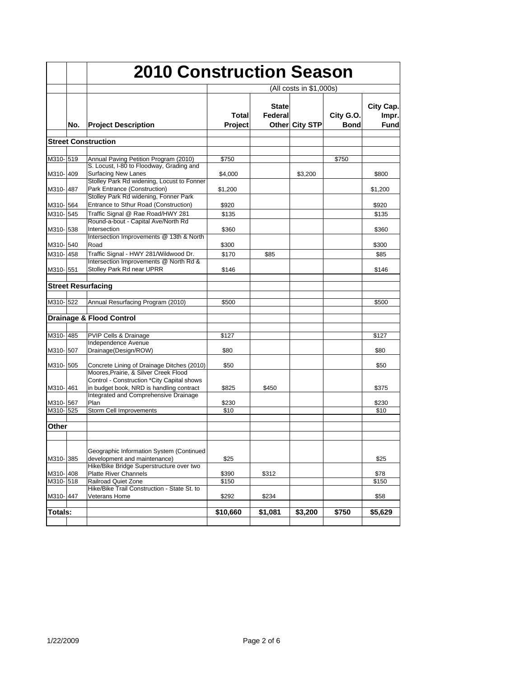|           |     |                                                                                                                                 |                         | <b>2010 Construction Season</b> |                |                          |                             |
|-----------|-----|---------------------------------------------------------------------------------------------------------------------------------|-------------------------|---------------------------------|----------------|--------------------------|-----------------------------|
|           |     |                                                                                                                                 | (All costs in \$1,000s) |                                 |                |                          |                             |
|           | No. | <b>Project Description</b>                                                                                                      | Total<br><b>Project</b> | <b>State</b><br>Federal         | Other City STP | City G.O.<br><b>Bond</b> | City Cap.<br>Impr.<br>Fundl |
|           |     | <b>Street Construction</b>                                                                                                      |                         |                                 |                |                          |                             |
|           |     |                                                                                                                                 |                         |                                 |                |                          |                             |
| M310-519  |     | Annual Paving Petition Program (2010)                                                                                           | \$750                   |                                 |                | \$750                    |                             |
| M310-1409 |     | S. Locust, I-80 to Floodway, Grading and<br><b>Surfacing New Lanes</b><br>Stolley Park Rd widening, Locust to Fonner            | \$4,000                 |                                 | \$3,200        |                          | \$800                       |
| M310-1487 |     | Park Entrance (Construction)                                                                                                    | \$1,200                 |                                 |                |                          | \$1,200                     |
| M310-564  |     | Stolley Park Rd widening, Fonner Park<br>Entrance to Sthur Road (Construction)                                                  | \$920                   |                                 |                |                          | \$920                       |
| M310-1545 |     | Traffic Signal @ Rae Road/HWY 281                                                                                               | \$135                   |                                 |                |                          | \$135                       |
| M310-1538 |     | Round-a-bout - Capital Ave/North Rd<br>Intersection                                                                             | \$360                   |                                 |                |                          | \$360                       |
| M310-540  |     | Intersection Improvements @ 13th & North<br>Road                                                                                | \$300                   |                                 |                |                          | \$300                       |
| M310-458  |     | Traffic Signal - HWY 281/Wildwood Dr.                                                                                           | \$170                   | \$85                            |                |                          | \$85                        |
| M310-551  |     | Intersection Improvements @ North Rd &<br>Stolley Park Rd near UPRR                                                             | \$146                   |                                 |                |                          | \$146                       |
|           |     | <b>Street Resurfacing</b>                                                                                                       |                         |                                 |                |                          |                             |
|           |     |                                                                                                                                 |                         |                                 |                |                          |                             |
| M310-522  |     | Annual Resurfacing Program (2010)                                                                                               | \$500                   |                                 |                |                          | \$500                       |
|           |     | <b>Drainage &amp; Flood Control</b>                                                                                             |                         |                                 |                |                          |                             |
| M310-485  |     | PVIP Cells & Drainage                                                                                                           | \$127                   |                                 |                |                          | \$127                       |
|           |     | Independence Avenue                                                                                                             |                         |                                 |                |                          |                             |
| M310-1507 |     | Drainage(Design/ROW)                                                                                                            | \$80                    |                                 |                |                          | \$80                        |
| M310-505  |     | Concrete Lining of Drainage Ditches (2010)                                                                                      | \$50                    |                                 |                |                          | \$50                        |
| M310-461  |     | Moores, Prairie, & Silver Creek Flood<br>Control - Construction *City Capital shows<br>in budget book, NRD is handling contract | \$825                   | \$450                           |                |                          | \$375                       |
|           |     | Integrated and Comprehensive Drainage                                                                                           |                         |                                 |                |                          |                             |
| M310-567  |     | Plan                                                                                                                            | \$230                   |                                 |                |                          | \$230                       |
| M310-525  |     | Storm Cell Improvements                                                                                                         | \$10                    |                                 |                |                          | \$10                        |
| Other     |     |                                                                                                                                 |                         |                                 |                |                          |                             |
| M310-385  |     | Geographic Information System (Continued<br>development and maintenance)<br>Hike/Bike Bridge Superstructure over two            | \$25                    |                                 |                |                          | \$25                        |
| M310-408  |     | <b>Platte River Channels</b>                                                                                                    | \$390                   | \$312                           |                |                          | \$78                        |
| M310-518  |     | <b>Railroad Quiet Zone</b>                                                                                                      | \$150                   |                                 |                |                          | \$150                       |
| M310-447  |     | Hike/Bike Trail Construction - State St. to<br>Veterans Home                                                                    | \$292                   | \$234                           |                |                          | \$58                        |
| Totals:   |     |                                                                                                                                 | \$10,660                | \$1,081                         | \$3,200        | \$750                    | \$5,629                     |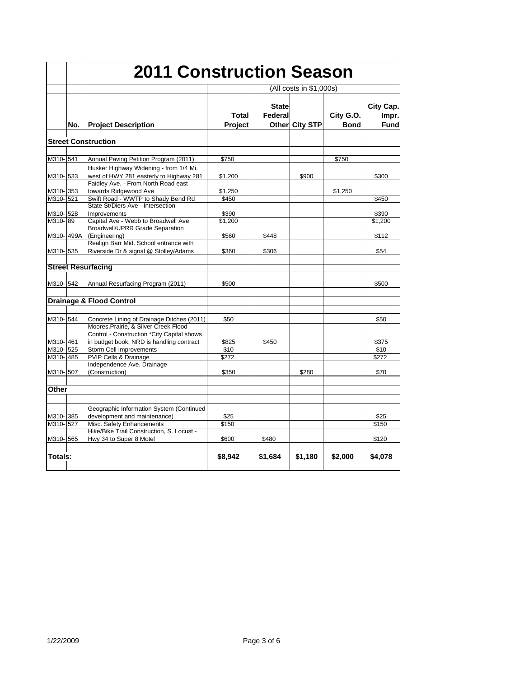|                       |     |                                                                                                    | <b>2011 Construction Season</b> |                         |                |                          |                            |  |  |
|-----------------------|-----|----------------------------------------------------------------------------------------------------|---------------------------------|-------------------------|----------------|--------------------------|----------------------------|--|--|
|                       |     |                                                                                                    | (All costs in \$1,000s)         |                         |                |                          |                            |  |  |
|                       | No. | <b>Project Description</b>                                                                         | Total<br>Project                | <b>State</b><br>Federal | Other City STP | City G.O.<br><b>Bond</b> | City Cap.<br>Impr.<br>Fund |  |  |
|                       |     | <b>Street Construction</b>                                                                         |                                 |                         |                |                          |                            |  |  |
| M310-541              |     | Annual Paving Petition Program (2011)                                                              | \$750                           |                         |                | \$750                    |                            |  |  |
| M310-533              |     | Husker Highway Widening - from 1/4 Mi.<br>west of HWY 281 easterly to Highway 281                  | \$1,200                         |                         | \$900          |                          | \$300                      |  |  |
| M310-353<br>M310-521  |     | Faidley Ave. - From North Road east<br>towards Ridgewood Ave<br>Swift Road - WWTP to Shady Bend Rd | \$1,250<br>\$450                |                         |                | \$1,250                  | \$450                      |  |  |
| M310-528              |     | State St/Diers Ave - Intersection<br>Improvements                                                  | \$390                           |                         |                |                          | \$390                      |  |  |
| M310-89               |     | Capital Ave - Webb to Broadwell Ave<br><b>Broadwell/UPRR Grade Separation</b>                      | \$1,200                         |                         |                |                          | \$1,200                    |  |  |
| M310-499A<br>M310-535 |     | (Engineering)<br>Realign Barr Mid. School entrance with<br>Riverside Dr & signal @ Stolley/Adams   | \$560<br>\$360                  | \$448<br>\$306          |                |                          | \$112<br>\$54              |  |  |
|                       |     | <b>Street Resurfacing</b>                                                                          |                                 |                         |                |                          |                            |  |  |
|                       |     |                                                                                                    |                                 |                         |                |                          |                            |  |  |
| M310-542              |     | Annual Resurfacing Program (2011)                                                                  | \$500                           |                         |                |                          | \$500                      |  |  |
|                       |     | <b>Drainage &amp; Flood Control</b>                                                                |                                 |                         |                |                          |                            |  |  |
| M310-544              |     | Concrete Lining of Drainage Ditches (2011)<br>Moores, Prairie, & Silver Creek Flood                | \$50                            |                         |                |                          | \$50                       |  |  |
| M310-461              |     | Control - Construction *City Capital shows<br>in budget book, NRD is handling contract             | \$825                           | \$450                   |                |                          | \$375                      |  |  |
| M310-525<br>M310-485  |     | Storm Cell Improvements<br><b>PVIP Cells &amp; Drainage</b><br>Independence Ave. Drainage          | \$10<br>\$272                   |                         |                |                          | \$10<br>\$272              |  |  |
| M310- 507             |     | (Construction)                                                                                     | \$350                           |                         | \$280          |                          | \$70                       |  |  |
| Other                 |     |                                                                                                    |                                 |                         |                |                          |                            |  |  |
| M310-385              |     | Geographic Information System (Continued<br>development and maintenance)                           | \$25                            |                         |                |                          | \$25                       |  |  |
| M310-527              |     | Misc. Safety Enhancements<br>Hike/Bike Trail Construction, S. Locust -                             | \$150                           |                         |                |                          | \$150                      |  |  |
| M310-565              |     | Hwy 34 to Super 8 Motel                                                                            | \$600                           | \$480                   |                |                          | \$120                      |  |  |
| Totals:               |     |                                                                                                    | \$8.942                         | \$1.684                 | \$1,180        | \$2,000                  | \$4,078                    |  |  |
|                       |     |                                                                                                    |                                 |                         |                |                          |                            |  |  |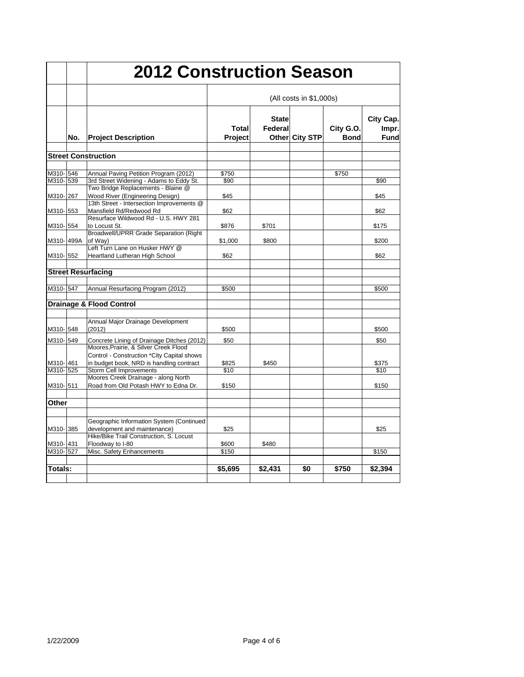|           |     | <b>2012 Construction Season</b>                                                     |                         |                         |                |                          |                            |  |
|-----------|-----|-------------------------------------------------------------------------------------|-------------------------|-------------------------|----------------|--------------------------|----------------------------|--|
|           |     | <b>Project Description</b>                                                          | (All costs in \$1,000s) |                         |                |                          |                            |  |
|           | No. |                                                                                     | Total<br>Project        | <b>State</b><br>Federal | Other City STP | City G.O.<br><b>Bond</b> | City Cap.<br>Impr.<br>Fund |  |
|           |     | <b>Street Construction</b>                                                          |                         |                         |                |                          |                            |  |
|           |     |                                                                                     |                         |                         |                |                          |                            |  |
| M310-546  |     | Annual Paving Petition Program (2012)                                               | \$750                   |                         |                | \$750                    |                            |  |
| M310-539  |     | 3rd Street Widening - Adams to Eddy St.<br>Two Bridge Replacements - Blaine @       | \$90                    |                         |                |                          | \$90                       |  |
| M310-267  |     | Wood River (Engineering Design)                                                     | \$45                    |                         |                |                          | \$45                       |  |
|           |     | 13th Street - Intersection Improvements @                                           |                         |                         |                |                          |                            |  |
| M310-553  |     | Mansfield Rd/Redwood Rd                                                             | \$62                    |                         |                |                          | \$62                       |  |
|           |     | Resurface Wildwood Rd - U.S. HWY 281                                                |                         |                         |                |                          |                            |  |
| M310-554  |     | to Locust St.<br><b>Broadwell/UPRR Grade Separation (Right</b>                      | \$876                   | \$701                   |                |                          | \$175                      |  |
| M310-499A |     | of Way)                                                                             | \$1,000                 | \$800                   |                |                          | \$200                      |  |
|           |     | Left Turn Lane on Husker HWY @                                                      |                         |                         |                |                          |                            |  |
| M310-552  |     | <b>Heartland Lutheran High School</b>                                               | \$62                    |                         |                |                          | \$62                       |  |
|           |     |                                                                                     |                         |                         |                |                          |                            |  |
|           |     | <b>Street Resurfacing</b>                                                           |                         |                         |                |                          |                            |  |
|           |     |                                                                                     |                         |                         |                |                          |                            |  |
| M310-547  |     | Annual Resurfacing Program (2012)                                                   | \$500                   |                         |                |                          | \$500                      |  |
|           |     | <b>Drainage &amp; Flood Control</b>                                                 |                         |                         |                |                          |                            |  |
|           |     |                                                                                     |                         |                         |                |                          |                            |  |
|           |     | Annual Major Drainage Development                                                   |                         |                         |                |                          |                            |  |
| M310-548  |     | (2012)                                                                              | \$500                   |                         |                |                          | \$500                      |  |
| M310-549  |     |                                                                                     |                         |                         |                |                          |                            |  |
|           |     | Concrete Lining of Drainage Ditches (2012)<br>Moores, Prairie, & Silver Creek Flood | \$50                    |                         |                |                          | \$50                       |  |
|           |     | Control - Construction *City Capital shows                                          |                         |                         |                |                          |                            |  |
| M310-461  |     | in budget book, NRD is handling contract                                            | \$825                   | \$450                   |                |                          | \$375                      |  |
| M310-525  |     | Storm Cell Improvements                                                             | \$10                    |                         |                |                          | \$10                       |  |
|           |     | Moores Creek Drainage - along North                                                 |                         |                         |                |                          |                            |  |
| M310-511  |     | Road from Old Potash HWY to Edna Dr.                                                | \$150                   |                         |                |                          | \$150                      |  |
| Other     |     |                                                                                     |                         |                         |                |                          |                            |  |
|           |     |                                                                                     |                         |                         |                |                          |                            |  |
|           |     | Geographic Information System (Continued                                            |                         |                         |                |                          |                            |  |
| M310-385  |     | development and maintenance)                                                        | \$25                    |                         |                |                          | \$25                       |  |
|           |     | Hike/Bike Trail Construction, S. Locust                                             |                         |                         |                |                          |                            |  |
| M310-431  |     | Floodway to I-80                                                                    | \$600                   | \$480                   |                |                          |                            |  |
| M310-527  |     | Misc. Safety Enhancements                                                           | \$150                   |                         |                |                          | \$150                      |  |
|           |     |                                                                                     |                         |                         |                |                          |                            |  |
| Totals:   |     |                                                                                     | \$5,695                 | \$2,431                 | \$0            | \$750                    | \$2,394                    |  |
|           |     |                                                                                     |                         |                         |                |                          |                            |  |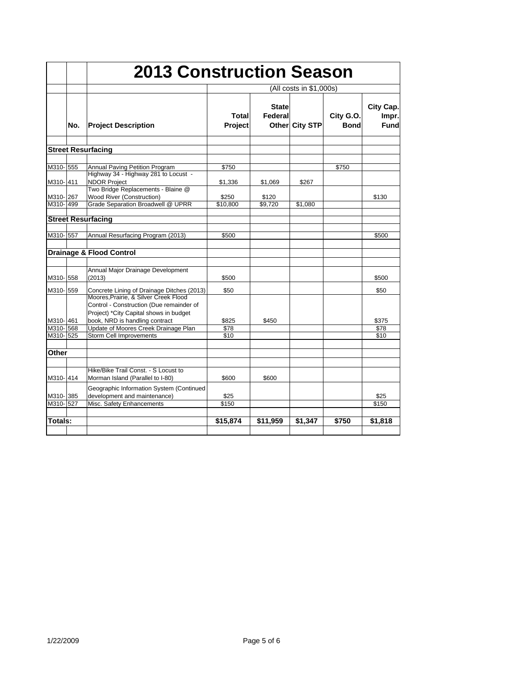|                       |     |                                                                                                                      | <b>2013 Construction Season</b> |                         |                |                          |                                   |  |  |
|-----------------------|-----|----------------------------------------------------------------------------------------------------------------------|---------------------------------|-------------------------|----------------|--------------------------|-----------------------------------|--|--|
|                       |     |                                                                                                                      |                                 | (All costs in \$1,000s) |                |                          |                                   |  |  |
|                       | No. | <b>Project Description</b>                                                                                           | Total<br><b>Project</b>         | <b>State</b><br>Federal | Other City STP | City G.O.<br><b>Bond</b> | City Cap.<br>Impr.<br><b>Fund</b> |  |  |
|                       |     | <b>Street Resurfacing</b>                                                                                            |                                 |                         |                |                          |                                   |  |  |
| M310-555              |     | <b>Annual Paving Petition Program</b><br>Highway 34 - Highway 281 to Locust -                                        | \$750                           |                         |                | \$750                    |                                   |  |  |
| M310-1411             |     | <b>NDOR Project</b><br>Two Bridge Replacements - Blaine @                                                            | \$1,336                         | \$1.069                 | \$267          |                          |                                   |  |  |
| M310-267<br>M310-499  |     | Wood River (Construction)<br>Grade Separation Broadwell @ UPRR                                                       | \$250<br>\$10.800               | \$120<br>\$9.720        | \$1.080        |                          | \$130                             |  |  |
|                       |     | <b>Street Resurfacing</b>                                                                                            |                                 |                         |                |                          |                                   |  |  |
| M310-557              |     | Annual Resurfacing Program (2013)                                                                                    | \$500                           |                         |                |                          | \$500                             |  |  |
|                       |     | <b>Drainage &amp; Flood Control</b>                                                                                  |                                 |                         |                |                          |                                   |  |  |
| M310-558              |     | Annual Major Drainage Development<br>(2013)                                                                          | \$500                           |                         |                |                          | \$500                             |  |  |
| M310-559              |     | Concrete Lining of Drainage Ditches (2013)<br>Moores, Prairie, & Silver Creek Flood                                  | \$50                            |                         |                |                          | \$50                              |  |  |
| M310-461              |     | Control - Construction (Due remainder of<br>Project) *City Capital shows in budget<br>book, NRD is handling contract | \$825                           | \$450                   |                |                          | \$375                             |  |  |
| M310- 568<br>M310-525 |     | Update of Moores Creek Drainage Plan<br><b>Storm Cell Improvements</b>                                               | \$78<br>\$10                    |                         |                |                          | \$78<br>\$10                      |  |  |
| Other                 |     |                                                                                                                      |                                 |                         |                |                          |                                   |  |  |
| M310-414              |     | Hike/Bike Trail Const. - S Locust to<br>Morman Island (Parallel to I-80)                                             | \$600                           | \$600                   |                |                          |                                   |  |  |
| M310-385              |     | Geographic Information System (Continued<br>development and maintenance)                                             | \$25                            |                         |                |                          | \$25                              |  |  |
| M310-527              |     | Misc. Safety Enhancements                                                                                            | \$150                           |                         |                |                          | \$150                             |  |  |
| Totals:               |     |                                                                                                                      | \$15,874                        | \$11,959                | \$1.347        | \$750                    | \$1,818                           |  |  |